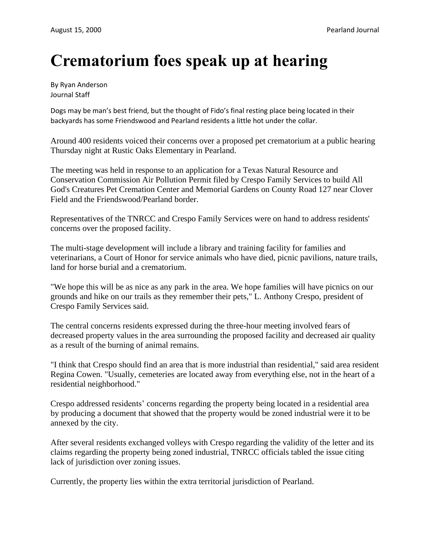## **Crematorium foes speak up at hearing**

By Ryan Anderson Journal Staff

Dogs may be man's best friend, but the thought of Fido's final resting place being located in their backyards has some Friendswood and Pearland residents a little hot under the collar.

Around 400 residents voiced their concerns over a proposed pet crematorium at a public hearing Thursday night at Rustic Oaks Elementary in Pearland.

The meeting was held in response to an application for a Texas Natural Resource and Conservation Commission Air Pollution Permit filed by Crespo Family Services to build All God's Creatures Pet Cremation Center and Memorial Gardens on County Road 127 near Clover Field and the Friendswood/Pearland border.

Representatives of the TNRCC and Crespo Family Services were on hand to address residents' concerns over the proposed facility.

The multi-stage development will include a library and training facility for families and veterinarians, a Court of Honor for service animals who have died, picnic pavilions, nature trails, land for horse burial and a crematorium.

"We hope this will be as nice as any park in the area. We hope families will have picnics on our grounds and hike on our trails as they remember their pets," L. Anthony Crespo, president of Crespo Family Services said.

The central concerns residents expressed during the three-hour meeting involved fears of decreased property values in the area surrounding the proposed facility and decreased air quality as a result of the burning of animal remains.

"I think that Crespo should find an area that is more industrial than residential," said area resident Regina Cowen. "Usually, cemeteries are located away from everything else, not in the heart of a residential neighborhood."

Crespo addressed residents' concerns regarding the property being located in a residential area by producing a document that showed that the property would be zoned industrial were it to be annexed by the city.

After several residents exchanged volleys with Crespo regarding the validity of the letter and its claims regarding the property being zoned industrial, TNRCC officials tabled the issue citing lack of jurisdiction over zoning issues.

Currently, the property lies within the extra territorial jurisdiction of Pearland.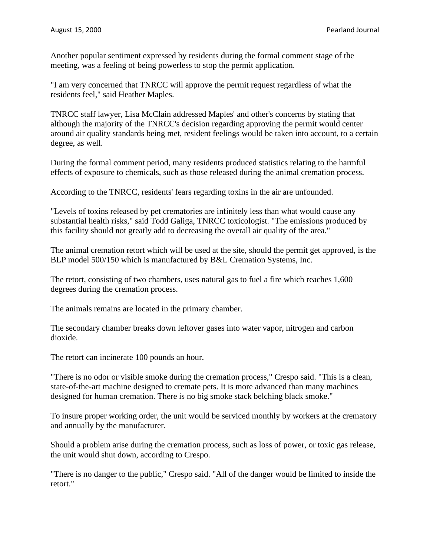Another popular sentiment expressed by residents during the formal comment stage of the meeting, was a feeling of being powerless to stop the permit application.

"I am very concerned that TNRCC will approve the permit request regardless of what the residents feel," said Heather Maples.

TNRCC staff lawyer, Lisa McClain addressed Maples' and other's concerns by stating that although the majority of the TNRCC's decision regarding approving the permit would center around air quality standards being met, resident feelings would be taken into account, to a certain degree, as well.

During the formal comment period, many residents produced statistics relating to the harmful effects of exposure to chemicals, such as those released during the animal cremation process.

According to the TNRCC, residents' fears regarding toxins in the air are unfounded.

"Levels of toxins released by pet crematories are infinitely less than what would cause any substantial health risks," said Todd Galiga, TNRCC toxicologist. "The emissions produced by this facility should not greatly add to decreasing the overall air quality of the area."

The animal cremation retort which will be used at the site, should the permit get approved, is the BLP model 500/150 which is manufactured by B&L Cremation Systems, Inc.

The retort, consisting of two chambers, uses natural gas to fuel a fire which reaches 1,600 degrees during the cremation process.

The animals remains are located in the primary chamber.

The secondary chamber breaks down leftover gases into water vapor, nitrogen and carbon dioxide.

The retort can incinerate 100 pounds an hour.

"There is no odor or visible smoke during the cremation process," Crespo said. "This is a clean, state-of-the-art machine designed to cremate pets. It is more advanced than many machines designed for human cremation. There is no big smoke stack belching black smoke."

To insure proper working order, the unit would be serviced monthly by workers at the crematory and annually by the manufacturer.

Should a problem arise during the cremation process, such as loss of power, or toxic gas release, the unit would shut down, according to Crespo.

"There is no danger to the public," Crespo said. "All of the danger would be limited to inside the retort."